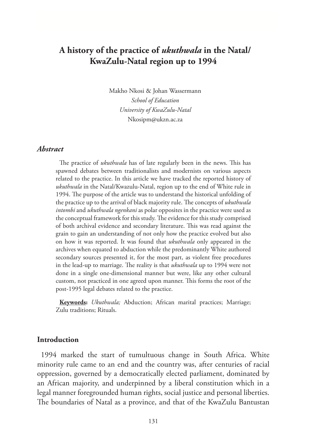# **A history of the practice of** *ukuthwala* **in the Natal/ KwaZulu-Natal region up to 1994**

Makho Nkosi & Johan Wassermann *School of Education University of KwaZulu-Natal* Nkosipm@ukzn.ac.za

### *Abstract*

The practice of *ukuthwala* has of late regularly been in the news. This has spawned debates between traditionalists and modernists on various aspects related to the practice. In this article we have tracked the reported history of *ukuthwala* in the Natal/Kwazulu-Natal, region up to the end of White rule in 1994. The purpose of the article was to understand the historical unfolding of the practice up to the arrival of black majority rule. The concepts of *ukuthwala intombi* and *ukuthwala ngenkani* as polar opposites in the practice were used as the conceptual framework for this study. The evidence for this study comprised of both archival evidence and secondary literature. This was read against the grain to gain an understanding of not only how the practice evolved but also on how it was reported. It was found that *ukuthwala* only appeared in the archives when equated to abduction while the predominantly White authored secondary sources presented it, for the most part, as violent free procedures in the lead-up to marriage. The reality is that *ukuthwala* up to 1994 were not done in a single one-dimensional manner but were, like any other cultural custom, not practiced in one agreed upon manner. This forms the root of the post-1995 legal debates related to the practice.

**Keywords:** *Ukuthwala;* Abduction; African marital practices; Marriage; Zulu traditions; Rituals.

### **Introduction**

1994 marked the start of tumultuous change in South Africa. White minority rule came to an end and the country was, after centuries of racial oppression, governed by a democratically elected parliament, dominated by an African majority, and underpinned by a liberal constitution which in a legal manner foregrounded human rights, social justice and personal liberties. The boundaries of Natal as a province, and that of the KwaZulu Bantustan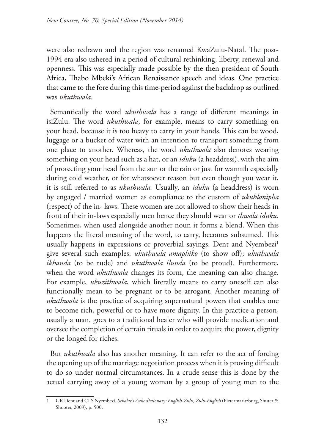were also redrawn and the region was renamed KwaZulu-Natal. The post-1994 era also ushered in a period of cultural rethinking, liberty, renewal and openness. This was especially made possible by the then president of South Africa, Thabo Mbeki's African Renaissance speech and ideas. One practice that came to the fore during this time-period against the backdrop as outlined was *ukuthwala.*

Semantically the word *ukuthwala* has a range of different meanings in isiZulu. The word *ukuthwala*, for example, means to carry something on your head, because it is too heavy to carry in your hands. This can be wood, luggage or a bucket of water with an intention to transport something from one place to another. Whereas, the word *ukuthwala* also denotes wearing something on your head such as a hat, or an *iduku* (a headdress), with the aim of protecting your head from the sun or the rain or just for warmth especially during cold weather, or for whatsoever reason but even though you wear it, it is still referred to as *ukuthwala.* Usually, an *iduku* (a headdress) is worn by engaged / married women as compliance to the custom of *ukuhlonipha* (respect) of the in- laws. These women are not allowed to show their heads in front of their in-laws especially men hence they should wear or *thwala iduku*. Sometimes, when used alongside another noun it forms a blend. When this happens the literal meaning of the word, to carry, becomes subsumed. This usually happens in expressions or proverbial sayings. Dent and Nyembezi<sup>1</sup> give several such examples: *ukuthwala amaphiko* (to show off); *ukuthwala ikhanda* (to be rude) and *ukuthwala ilunda* (to be proud). Furthermore, when the word *ukuthwala* changes its form, the meaning can also change. For example, *ukuzithwala*, which literally means to carry oneself can also functionally mean to be pregnant or to be arrogant. Another meaning of *ukuthwala* is the practice of acquiring supernatural powers that enables one to become rich, powerful or to have more dignity. In this practice a person, usually a man, goes to a traditional healer who will provide medication and oversee the completion of certain rituals in order to acquire the power, dignity or the longed for riches.

But *ukuthwala* also has another meaning. It can refer to the act of forcing the opening up of the marriage negotiation process when it is proving difficult to do so under normal circumstances. In a crude sense this is done by the actual carrying away of a young woman by a group of young men to the

<sup>1</sup> GR Dent and CLS Nyembezi, *Scholar's Zulu dictionary: English-Zulu, Zulu-English* (Pietermaritzburg, Shuter & Shooter, 2009), p. 500.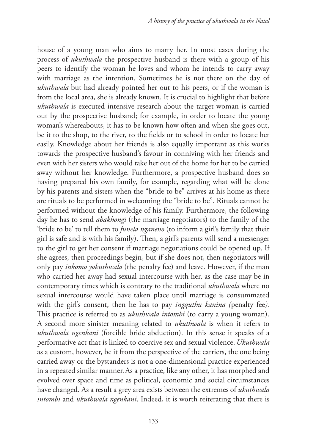house of a young man who aims to marry her. In most cases during the process of *ukuthwala* the prospective husband is there with a group of his peers to identify the woman he loves and whom he intends to carry away with marriage as the intention. Sometimes he is not there on the day of *ukuthwala* but had already pointed her out to his peers, or if the woman is from the local area, she is already known. It is crucial to highlight that before *ukuthwala* is executed intensive research about the target woman is carried out by the prospective husband; for example, in order to locate the young woman's whereabouts, it has to be known how often and when she goes out, be it to the shop, to the river, to the fields or to school in order to locate her easily. Knowledge about her friends is also equally important as this works towards the prospective husband's favour in conniving with her friends and even with her sisters who would take her out of the home for her to be carried away without her knowledge. Furthermore, a prospective husband does so having prepared his own family, for example, regarding what will be done by his parents and sisters when the "bride to be" arrives at his home as there are rituals to be performed in welcoming the "bride to be". Rituals cannot be performed without the knowledge of his family. Furthermore, the following day he has to send *abakhongi* (the marriage negotiators) to the family of the 'bride to be' to tell them to *funela nganeno* (to inform a girl's family that their girl is safe and is with his family). Then, a girl's parents will send a messenger to the girl to get her consent if marriage negotiations could be opened up. If she agrees, then proceedings begin, but if she does not, then negotiators will only pay *inkomo yokuthwala* (the penalty fee) and leave. However, if the man who carried her away had sexual intercourse with her, as the case may be in contemporary times which is contrary to the traditional *ukuthwala* where no sexual intercourse would have taken place until marriage is consummated with the girl's consent, then he has to pay *ingquthu kanina (*penalty fee*).* This practice is referred to as *ukuthwala intombi* (to carry a young woman). A second more sinister meaning related to *ukuthwala* is when it refers to *ukuthwala ngenkani* (forcible bride abduction). In this sense it speaks of a performative act that is linked to coercive sex and sexual violence.*Ukuthwala* as a custom, however, be it from the perspective of the carriers, the one being carried away or the bystanders is not a one-dimensional practice experienced in a repeated similar manner.As a practice, like any other, it has morphed and evolved over space and time as political, economic and social circumstances have changed. As a result a grey area exists between the extremes of *ukuthwala intombi* and *ukuthwala ngenkani*. Indeed, it is worth reiterating that there is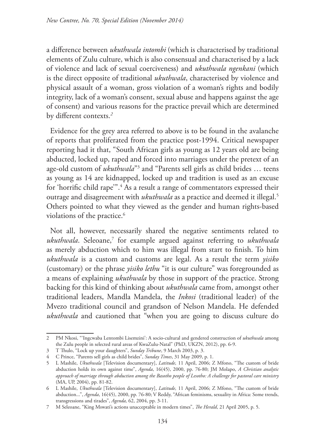a difference between *ukuthwala intombi* (which is characterised by traditional elements of Zulu culture, which is also consensual and characterised by a lack of violence and lack of sexual coerciveness) and *ukuthwala ngenkani* (which is the direct opposite of traditional *ukuthwala*, characterised by violence and physical assault of a woman, gross violation of a woman's rights and bodily integrity, lack of a woman's consent, sexual abuse and happens against the age of consent) and various reasons for the practice prevail which are determined by different contexts.*<sup>2</sup>*

Evidence for the grey area referred to above is to be found in the avalanche of reports that proliferated from the practice post-1994. Critical newspaper reporting had it that, "South African girls as young as 12 years old are being abducted, locked up, raped and forced into marriages under the pretext of an age-old custom of *ukuthwala*"3 and "Parents sell girls as child brides … teens as young as 14 are kidnapped, locked up and tradition is used as an excuse for 'horrific child rape'".<sup>4</sup> As a result a range of commentators expressed their outrage and disagreement with *ukuthwala* as a practice and deemed it illegal.5 Others pointed to what they viewed as the gender and human rights-based violations of the practice.<sup>6</sup>

Not all, however, necessarily shared the negative sentiments related to *ukuthwala*. Seleoane,7 for example argued against referring to *ukuthwala* as merely abduction which to him was illegal from start to finish. To him *ukuthwala* is a custom and customs are legal. As a result the term *yisiko* (customary) or the phrase *yisiko lethu* "it is our culture" was foregrounded as a means of explaining *ukuthwala* by those in support of the practice. Strong backing for this kind of thinking about *ukuthwala* came from, amongst other traditional leaders, Mandla Mandela, the *Inkosi* (traditional leader) of the Mvezo traditional council and grandson of Nelson Mandela. He defended *ukuthwala* and cautioned that "when you are going to discuss culture do

<sup>2</sup> PM Nkosi, "'Ingcwaba Lentombi Lisemzini': A socio-cultural and gendered construction of *ukuthwala* among the Zulu people in selected rural areas of KwaZulu-Natal" (PhD, UKZN, 2012), pp. 6-9.

<sup>3</sup> T Thulo, "Lock up your daughters", *Sunday Tribune*, 9 March 2003, p. 3.

<sup>4</sup> C Prince, "Parents sell girls as child brides", *Sunday Times*, 31 May 2009, p. 1.

<sup>5</sup> L Mashile, *Ukuthwala* [Television documentary], *Latitude,* 11 April, 2006; Z Mfono, "The custom of bride abduction holds its own against time", *Agenda*, 16(45), 2000, pp. 76-80; JM Molapo, *A Christian analytic approach of marriage through abduction among the Basotho people of Lesotho: A challenge for pastoral care ministry* (MA, UP, 2004), pp. 81-82.

<sup>6</sup> L Mashile, *Ukuthwala* [Television documentary], *Latitude,* 11 April, 2006; Z Mfono, "The custom of bride abduction...", *Agenda*, 16(45), 2000, pp. 76-80; V Reddy, "African feminisms, sexuality in Africa: Some trends, transgressions and tirades", *Agenda,* 62, 2004, pp. 3-11.

<sup>7</sup> M Seleoane, "King Mswati's actions unacceptable in modern times", *The Herald*, 21 April 2005, p. 5.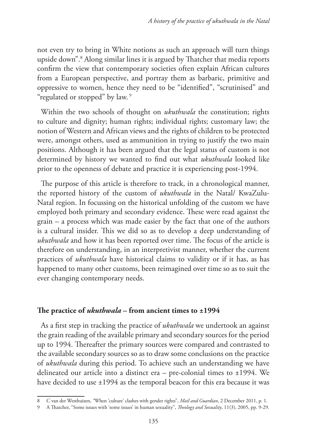not even try to bring in White notions as such an approach will turn things upside down".8 Along similar lines it is argued by Thatcher that media reports confirm the view that contemporary societies often explain African cultures from a European perspective, and portray them as barbaric, primitive and oppressive to women, hence they need to be "identified", "scrutinised" and "regulated or stopped" by law.<sup>9</sup>

Within the two schools of thought on *ukuthwala* the constitution; rights to culture and dignity; human rights; individual rights; customary law; the notion of Western and African views and the rights of children to be protected were, amongst others, used as ammunition in trying to justify the two main positions. Although it has been argued that the legal status of custom is not determined by history we wanted to find out what *ukuthwala* looked like prior to the openness of debate and practice it is experiencing post-1994.

The purpose of this article is therefore to track, in a chronological manner, the reported history of the custom of *ukuthwala* in the Natal/ KwaZulu-Natal region. In focussing on the historical unfolding of the custom we have employed both primary and secondary evidence. These were read against the grain – a process which was made easier by the fact that one of the authors is a cultural insider. This we did so as to develop a deep understanding of *ukuthwala* and how it has been reported over time. The focus of the article is therefore on understanding, in an interpretivist manner, whether the current practices of *ukuthwala* have historical claims to validity or if it has, as has happened to many other customs, been reimagined over time so as to suit the ever changing contemporary needs.

## **The practice of** *ukuthwala* **– from ancient times to ±1994**

As a first step in tracking the practice of *ukuthwala* we undertook an against the grain reading of the available primary and secondary sources for the period up to 1994. Thereafter the primary sources were compared and contrasted to the available secondary sources so as to draw some conclusions on the practice of *ukuthwala* during this period. To achieve such an understanding we have delineated our article into a distinct era – pre-colonial times to ±1994. We have decided to use  $\pm 1994$  as the temporal beacon for this era because it was

<sup>8</sup> C van der Westhuizen, *"*When 'culture' clashes with gender rights", *Mail and Guardian*, 2 December 2011, p. 1.

<sup>9</sup> A Thatcher, "Some issues with 'some issues' in human sexuality", *Theology and Sexuality*, 11(3), 2005, pp. 9-29.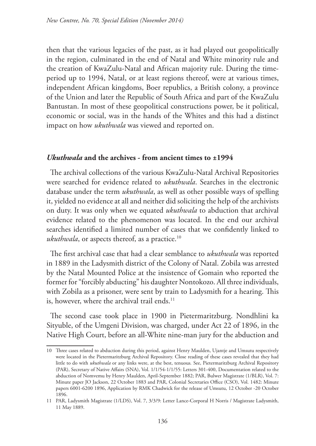then that the various legacies of the past, as it had played out geopolitically in the region, culminated in the end of Natal and White minority rule and the creation of KwaZulu-Natal and African majority rule. During the timeperiod up to 1994, Natal, or at least regions thereof, were at various times, independent African kingdoms, Boer republics, a British colony, a province of the Union and later the Republic of South Africa and part of the KwaZulu Bantustan. In most of these geopolitical constructions power, be it political, economic or social, was in the hands of the Whites and this had a distinct impact on how *ukuthwala* was viewed and reported on.

# *Ukuthwala* **and the archives - from ancient times to ±1994**

The archival collections of the various KwaZulu-Natal Archival Repositories were searched for evidence related to *ukuthwala*. Searches in the electronic database under the term *ukuthwala*, as well as other possible ways of spelling it, yielded no evidence at all and neither did soliciting the help of the archivists on duty. It was only when we equated *ukuthwala* to abduction that archival evidence related to the phenomenon was located. In the end our archival searches identified a limited number of cases that we confidently linked to *ukuthwala*, or aspects thereof, as a practice.<sup>10</sup>

The first archival case that had a clear semblance to *ukuthwala* was reported in 1889 in the Ladysmith district of the Colony of Natal. Zobila was arrested by the Natal Mounted Police at the insistence of Gomain who reported the former for "forcibly abducting" his daughter Nontokozo. All three individuals, with Zobila as a prisoner, were sent by train to Ladysmith for a hearing. This is, however, where the archival trail ends.<sup>11</sup>

The second case took place in 1900 in Pietermaritzburg. Nondhlini ka Sityuble, of the Umgeni Division, was charged, under Act 22 of 1896, in the Native High Court, before an all-White nine-man jury for the abduction and

<sup>10</sup> Three cases related to abduction during this period, against Henry Maulden, Ujantje and Umsutu respectively were located in the Pietermaritzburg Archival Repository. Close reading of these cases revealed that they had little to do with *ukuthwala* or any links were, at the best, tenuous*.* See, Pietermaritzburg Archival Repository (PAR), Secretary of Native Affairs (SNA), Vol. 1/1/54-1/1/55: Letters 301-400, Documentation related to the abduction of Nomvemu by Henry Maulden, April-September 1882; PAR, Bulwer Magistrate (1/BLR), Vol. 7: Minute paper JO Jackson, 22 October 1883 and PAR, Colonial Secretaries Office (CSO), Vol. 1482: Minute papers 6001-6200 1896, Application by RMK Chadwick for the release of Umsutu, 12 October -20 October 1896.

<sup>11</sup> PAR, Ladysmith Magistrate (1/LDS), Vol. 7, 3/3/9: Letter Lance-Corporal H Norris / Magistrate Ladysmith, 11 May 1889.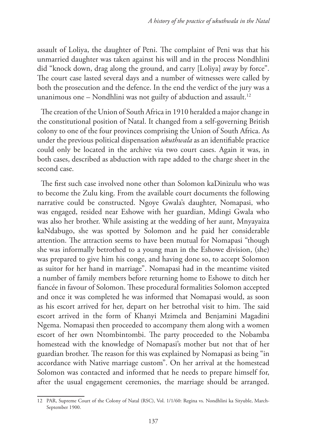assault of Loliya, the daughter of Peni. The complaint of Peni was that his unmarried daughter was taken against his will and in the process Nondhlini did "knock down, drag along the ground, and carry [Loliya] away by force". The court case lasted several days and a number of witnesses were called by both the prosecution and the defence. In the end the verdict of the jury was a unanimous one – Nondhlini was not guilty of abduction and assault.<sup>12</sup>

The creation of the Union of South Africa in 1910 heralded a major change in the constitutional position of Natal. It changed from a self-governing British colony to one of the four provinces comprising the Union of South Africa. As under the previous political dispensation *ukuthwala* as an identifiable practice could only be located in the archive via two court cases. Again it was, in both cases, described as abduction with rape added to the charge sheet in the second case.

The first such case involved none other than Solomon kaDinizulu who was to become the Zulu king. From the available court documents the following narrative could be constructed. Ngoye Gwala's daughter, Nomapasi, who was engaged, resided near Eshowe with her guardian, Mdingi Gwala who was also her brother. While assisting at the wedding of her aunt, Mnyayaiza kaNdabugo, she was spotted by Solomon and he paid her considerable attention. The attraction seems to have been mutual for Nomapasi "though she was informally betrothed to a young man in the Eshowe division, (she) was prepared to give him his conge, and having done so, to accept Solomon as suitor for her hand in marriage". Nomapasi had in the meantime visited a number of family members before returning home to Eshowe to ditch her fiancée in favour of Solomon. These procedural formalities Solomon accepted and once it was completed he was informed that Nomapasi would, as soon as his escort arrived for her, depart on her betrothal visit to him. The said escort arrived in the form of Khanyi Mzimela and Benjamini Magadini Ngema. Nomapasi then proceeded to accompany them along with a women escort of her own Ntombintombi. The party proceeded to the Nobamba homestead with the knowledge of Nomapasi's mother but not that of her guardian brother. The reason for this was explained by Nomapasi as being "in accordance with Native marriage custom". On her arrival at the homestead Solomon was contacted and informed that he needs to prepare himself for, after the usual engagement ceremonies, the marriage should be arranged.

<sup>12</sup> PAR, Supreme Court of the Colony of Natal (RSC), Vol. 1/1/60: Regina vs. Nondhlini ka Sityuble, March-September 1900.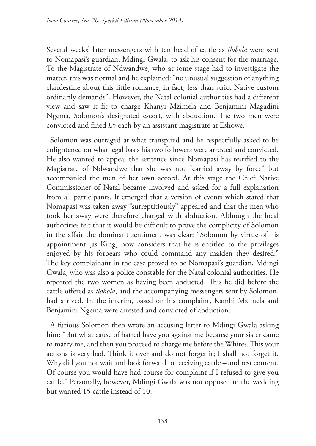Several weeks' later messengers with ten head of cattle as *ilobola* were sent to Nomapasi's guardian, Mdingi Gwala, to ask his consent for the marriage. To the Magistrate of Ndwandwe, who at some stage had to investigate the matter, this was normal and he explained: "no unusual suggestion of anything clandestine about this little romance, in fact, less than strict Native custom ordinarily demands". However, the Natal colonial authorities had a different view and saw it fit to charge Khanyi Mzimela and Benjamini Magadini Ngema, Solomon's designated escort, with abduction. The two men were convicted and fined £5 each by an assistant magistrate at Eshowe.

Solomon was outraged at what transpired and he respectfully asked to be enlightened on what legal basis his two followers were arrested and convicted. He also wanted to appeal the sentence since Nomapasi has testified to the Magistrate of Ndwandwe that she was not "carried away by force" but accompanied the men of her own accord. At this stage the Chief Native Commissioner of Natal became involved and asked for a full explanation from all participants. It emerged that a version of events which stated that Nomapasi was taken away "surreptitiously" appeared and that the men who took her away were therefore charged with abduction. Although the local authorities felt that it would be difficult to prove the complicity of Solomon in the affair the dominant sentiment was clear: "Solomon by virtue of his appointment [as King] now considers that he is entitled to the privileges enjoyed by his forbears who could command any maiden they desired." The key complainant in the case proved to be Nomapasi's guardian, Mdingi Gwala, who was also a police constable for the Natal colonial authorities. He reported the two women as having been abducted. This he did before the cattle offered as *ilobola*, and the accompanying messengers sent by Solomon, had arrived. In the interim, based on his complaint, Kambi Mzimela and Benjamini Ngema were arrested and convicted of abduction.

A furious Solomon then wrote an accusing letter to Mdingi Gwala asking him: "But what cause of hatred have you against me because your sister came to marry me, and then you proceed to charge me before the Whites. This your actions is very bad. Think it over and do not forget it; I shall not forget it. Why did you not wait and look forward to receiving cattle – and rest content. Of course you would have had course for complaint if I refused to give you cattle." Personally, however, Mdingi Gwala was not opposed to the wedding but wanted 15 cattle instead of 10.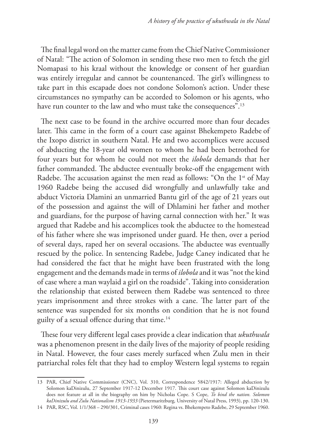The final legal word on the matter came from the Chief Native Commissioner of Natal: "The action of Solomon in sending these two men to fetch the girl Nomapasi to his kraal without the knowledge or consent of her guardian was entirely irregular and cannot be countenanced. The girl's willingness to take part in this escapade does not condone Solomon's action. Under these circumstances no sympathy can be accorded to Solomon or his agents, who have run counter to the law and who must take the consequences".<sup>13</sup>

The next case to be found in the archive occurred more than four decades later. This came in the form of a court case against Bhekempeto Radebe of the Ixopo district in southern Natal. He and two accomplices were accused of abducting the 18-year old women to whom he had been betrothed for four years but for whom he could not meet the *ilobola* demands that her father commanded. The abductee eventually broke-off the engagement with Radebe. The accusation against the men read as follows: "On the 1<sup>st</sup> of May 1960 Radebe being the accused did wrongfully and unlawfully take and abduct Victoria Dlamini an unmarried Bantu girl of the age of 21 years out of the possession and against the will of Dhlamini her father and mother and guardians, for the purpose of having carnal connection with her." It was argued that Radebe and his accomplices took the abductee to the homestead of his father where she was imprisoned under guard. He then, over a period of several days, raped her on several occasions. The abductee was eventually rescued by the police. In sentencing Radebe, Judge Caney indicated that he had considered the fact that he might have been frustrated with the long engagement and the demands made in terms of *ilobola* and it was "not the kind of case where a man waylaid a girl on the roadside". Taking into consideration the relationship that existed between them Radebe was sentenced to three years imprisonment and three strokes with a cane. The latter part of the sentence was suspended for six months on condition that he is not found guilty of a sexual offence during that time.14

These four very different legal cases provide a clear indication that *ukuthwala* was a phenomenon present in the daily lives of the majority of people residing in Natal. However, the four cases merely surfaced when Zulu men in their patriarchal roles felt that they had to employ Western legal systems to regain

14 PAR, RSC, Vol. 1/1/368 – 290/301, Criminal cases 1960: Regina vs. Bhekempeto Radebe, 29 September 1960.

<sup>13</sup> PAR, Chief Native Commissioner (CNC), Vol. 310, Correspondence 5842/1917: Alleged abduction by Solomon kaDinizulu, 27 September 1917-12 December 1917. This court case against Solomon kaDinizulu does not feature at all in the biography on him by Nicholas Cope. S Cope, *To bind the nation. Solomon kaDinizulu and Zulu Nationalism 1913-1933* (Pietermaritzburg*,* University of Natal Press, 1993), pp. 120-130.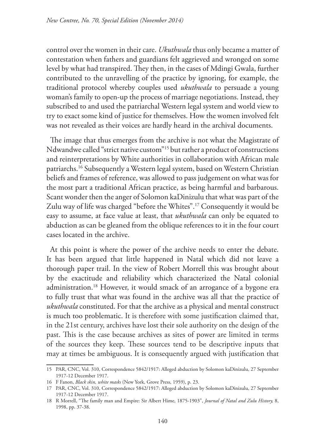control over the women in their care. *Ukuthwala* thus only became a matter of contestation when fathers and guardians felt aggrieved and wronged on some level by what had transpired. They then, in the cases of Mdingi Gwala, further contributed to the unravelling of the practice by ignoring, for example, the traditional protocol whereby couples used *ukuthwala* to persuade a young woman's family to open-up the process of marriage negotiations. Instead, they subscribed to and used the patriarchal Western legal system and world view to try to exact some kind of justice for themselves. How the women involved felt was not revealed as their voices are hardly heard in the archival documents.

The image that thus emerges from the archive is not what the Magistrate of Ndwandwe called "strict native custom"15 but rather a product of constructions and reinterpretations by White authorities in collaboration with African male patriarchs.16 Subsequently a Western legal system, based on Western Christian beliefs and frames of reference, was allowed to pass judgement on what was for the most part a traditional African practice, as being harmful and barbarous. Scant wonder then the anger of Solomon kaDinizulu that what was part of the Zulu way of life was charged "before the Whites".<sup>17</sup> Consequently it would be easy to assume, at face value at least, that *ukuthwala* can only be equated to abduction as can be gleaned from the oblique references to it in the four court cases located in the archive.

At this point is where the power of the archive needs to enter the debate. It has been argued that little happened in Natal which did not leave a thorough paper trail. In the view of Robert Morrell this was brought about by the exactitude and reliability which characterized the Natal colonial administration.18 However, it would smack of an arrogance of a bygone era to fully trust that what was found in the archive was all that the practice of *ukuthwala* constituted. For that the archive as a physical and mental construct is much too problematic. It is therefore with some justification claimed that, in the 21st century, archives have lost their sole authority on the design of the past. This is the case because archives as sites of power are limited in terms of the sources they keep. These sources tend to be descriptive inputs that may at times be ambiguous. It is consequently argued with justification that

<sup>15</sup> PAR, CNC, Vol. 310, Correspondence 5842/1917: Alleged abduction by Solomon kaDinizulu, 27 September 1917-12 December 1917.

<sup>16</sup> F Fanon, *Black skin, white masks* (New York, Grove Press, 1959), p. 23.

<sup>17</sup> PAR, CNC, Vol. 310, Correspondence 5842/1917: Alleged abduction by Solomon kaDinizulu, 27 September 1917-12 December 1917.

<sup>18</sup> R Morrell, "The family man and Empire: Sir Albert Hime, 1875-1903", *Journal of Natal and Zulu History,* 8, 1998, pp. 37-38.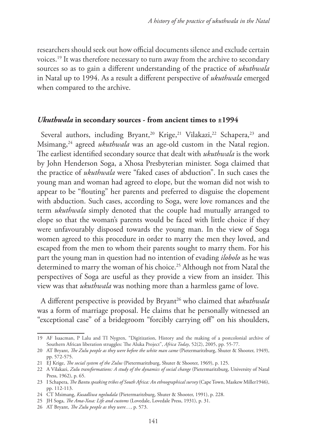researchers should seek out how official documents silence and exclude certain voices.19 It was therefore necessary to turn away from the archive to secondary sources so as to gain a different understanding of the practice of *ukuthwala* in Natal up to 1994. As a result a different perspective of *ukuthwala* emerged when compared to the archive.

### *Ukuthwala* **in secondary sources - from ancient times to ±1994**

Several authors, including Bryant,<sup>20</sup> Krige,<sup>21</sup> Vilakazi,<sup>22</sup> Schapera,<sup>23</sup> and Msimang,24 agreed *ukuthwala* was an age-old custom in the Natal region. The earliest identified secondary source that dealt with *ukuthwala* is the work by John Henderson Soga, a Xhosa Presbyterian minister. Soga claimed that the practice of *ukuthwala* were "faked cases of abduction". In such cases the young man and woman had agreed to elope, but the woman did not wish to appear to be "flouting" her parents and preferred to disguise the elopement with abduction. Such cases, according to Soga, were love romances and the term *ukuthwala* simply denoted that the couple had mutually arranged to elope so that the woman's parents would be faced with little choice if they were unfavourably disposed towards the young man. In the view of Soga women agreed to this procedure in order to marry the men they loved, and escaped from the men to whom their parents sought to marry them. For his part the young man in question had no intention of evading *ilobolo* as he was determined to marry the woman of his choice.<sup>25</sup> Although not from Natal the perspectives of Soga are useful as they provide a view from an insider. This view was that *ukuthwala* was nothing more than a harmless game of love.

A different perspective is provided by Bryant<sup>26</sup> who claimed that *ukuthwala* was a form of marriage proposal. He claims that he personally witnessed an "exceptional case" of a bridegroom "forcibly carrying off" on his shoulders,

<sup>19</sup> AF Isaacman, P Lalu and TI Nygren, "Digitization, History and the making of a postcolonial archive of Southern African liberation struggles: The Aluka Project", *Africa Today*, 52(2), 2005, pp. 55-77.

<sup>20</sup> AT Bryant, *The Zulu people as they were before the white man came* (Pietermaritzburg, Shuter & Shooter, 1949), pp. 572-575.

<sup>21</sup> EJ Krige, *The social system of the Zulus* (Pietermaritzburg, Shuter & Shooter, 1969), p. 125.

<sup>22</sup> A Vilakazi, *Zulu transformations: A study of the dynamics of social change* (Pietermaritzburg, University of Natal Press, 1962), p. 65.

<sup>23</sup> I Schapera, *The Bantu speaking tribes of South Africa: An ethnographical survey* (Cape Town, Maskew Miller1946), pp. 112-113.

<sup>24</sup> CT Msimang, *Kusadliwa ngoludala* (Pietermaritzburg, Shuter & Shooter, 1991), p. 228.

<sup>25</sup> JH Soga, *The Ama-Xosa: Life and customs* (Lovedale, Lovedale Press, 1931), p. 31.

<sup>26</sup> AT Bryant, *The Zulu people as they were…,* p. 573.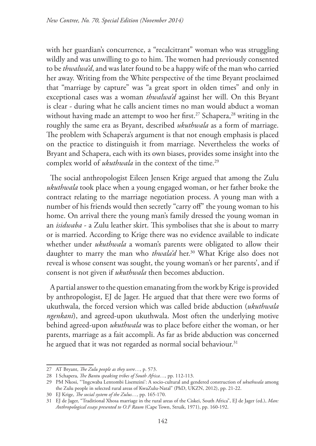with her guardian's concurrence, a "recalcitrant" woman who was struggling wildly and was unwilling to go to him. The women had previously consented to be *thwalwa'd*, and was later found to be a happy wife of the man who carried her away. Writing from the White perspective of the time Bryant proclaimed that "marriage by capture" was "a great sport in olden times" and only in exceptional cases was a woman *thwalwa'd* against her will. On this Bryant is clear - during what he calls ancient times no man would abduct a woman without having made an attempt to woo her first.<sup>27</sup> Schapera,<sup>28</sup> writing in the roughly the same era as Bryant, described *ukuthwala* as a form of marriage. The problem with Schapera's argument is that not enough emphasis is placed on the practice to distinguish it from marriage. Nevertheless the works of Bryant and Schapera, each with its own biases, provides some insight into the complex world of *ukuthwala* in the context of the time.<sup>29</sup>

The social anthropologist Eileen Jensen Krige argued that among the Zulu *ukuthwala* took place when a young engaged woman, or her father broke the contract relating to the marriage negotiation process. A young man with a number of his friends would then secretly "carry off" the young woman to his home. On arrival there the young man's family dressed the young woman in an *isidwaba* - a Zulu leather skirt. This symbolises that she is about to marry or is married. According to Krige there was no evidence available to indicate whether under *ukuthwala* a woman's parents were obligated to allow their daughter to marry the man who *thwala'd* her.<sup>30</sup> What Krige also does not reveal is whose consent was sought, the young woman's or her parents', and if consent is not given if *ukuthwala* then becomes abduction.

A partial answer to the question emanating from the work by Krige is provided by anthropologist, EJ de Jager. He argued that that there were two forms of ukuthwala, the forced version which was called bride abduction (*ukuthwala ngenkani*), and agreed-upon ukuthwala. Most often the underlying motive behind agreed-upon *ukuthwala* was to place before either the woman, or her parents, marriage as a fait accompli. As far as bride abduction was concerned he argued that it was not regarded as normal social behaviour.<sup>31</sup>

<sup>27</sup> AT Bryant, *The Zulu people as they were…,* p. 573.

<sup>28</sup> I Schapera, *The Bantu speaking tribes of South Africa…,* pp. 112-113.

<sup>29</sup> PM Nkosi, "'Ingcwaba Lentombi Lisemzini': A socio-cultural and gendered construction of *ukuthwala* among the Zulu people in selected rural areas of KwaZulu-Natal" (PhD, UKZN, 2012), pp. 21-22.

<sup>30</sup> EJ Krige, *The social system of the Zulus…,* pp. 165-170.

<sup>31</sup> EJ de Jager, "Traditional Xhosa marriage in the rural areas of the Ciskei, South Africa", EJ de Jager (ed.), *Man: Anthropological essays presented to O.F Raum* (Cape Town, Struik, 1971), pp. 160-192.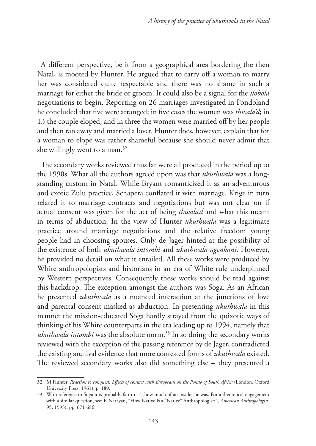A different perspective, be it from a geographical area bordering the then Natal, is mooted by Hunter. He argued that to carry off a woman to marry her was considered quite respectable and there was no shame in such a marriage for either the bride or groom. It could also be a signal for the *ilobola*  negotiations to begin. Reporting on 26 marriages investigated in Pondoland he concluded that five were arranged; in five cases the women was *thwala'd*; in 13 the couple eloped, and in three the women were married off by her people and then ran away and married a lover. Hunter does, however, explain that for a woman to elope was rather shameful because she should never admit that she willingly went to a man.<sup>32</sup>

The secondary works reviewed thus far were all produced in the period up to the 1990s. What all the authors agreed upon was that *ukuthwala* was a longstanding custom in Natal. While Bryant romanticized it as an adventurous and exotic Zulu practice, Schapera conflated it with marriage. Krige in turn related it to marriage contracts and negotiations but was not clear on if actual consent was given for the act of being *thwala'd* and what this meant in terms of abduction. In the view of Hunter *ukuthwala* was a legitimate practice around marriage negotiations and the relative freedom young people had in choosing spouses. Only de Jager hinted at the possibility of the existence of both *ukuthwala intombi* and *ukuthwala ngenkani*. However, he provided no detail on what it entailed. All these works were produced by White anthropologists and historians in an era of White rule underpinned by Western perspectives. Consequently these works should be read against this backdrop. The exception amongst the authors was Soga. As an African he presented *ukuthwala* as a nuanced interaction at the junctions of love and parental consent masked as abduction. In presenting *ukuthwala* in this manner the mission-educated Soga hardly strayed from the quixotic ways of thinking of his White counterparts in the era leading up to 1994, namely that *ukuthwala intombi* was the absolute norm.<sup>33</sup> In so doing the secondary works reviewed with the exception of the passing reference by de Jager, contradicted the existing archival evidence that more contested forms of *ukuthwala* existed. The reviewed secondary works also did something else – they presented a

<sup>32</sup> M Hunter, *Reaction to conquest: Effects of contact with Europeans on the Pondo of South Africa* (London, Oxford University Press, 1961), p. 189.

<sup>33</sup> With reference to Soga it is probably fair to ask how much of an insider he was. For a theoretical engagement with a similar question, see: K Narayan, "How Native Is a "Native" Anthropologist?", *American Anthropologist*, 95, 1993), pp. 671-686.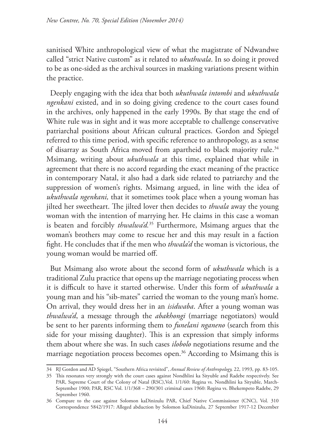sanitised White anthropological view of what the magistrate of Ndwandwe called "strict Native custom" as it related to *ukuthwala*. In so doing it proved to be as one-sided as the archival sources in masking variations present within the practice.

Deeply engaging with the idea that both *ukuthwala intombi* and *ukuthwala ngenkani* existed, and in so doing giving credence to the court cases found in the archives, only happened in the early 1990s. By that stage the end of White rule was in sight and it was more acceptable to challenge conservative patriarchal positions about African cultural practices. Gordon and Spiegel referred to this time period, with specific reference to anthropology, as a sense of disarray as South Africa moved from apartheid to black majority rule.<sup>34</sup> Msimang, writing about *ukuthwala* at this time, explained that while in agreement that there is no accord regarding the exact meaning of the practice in contemporary Natal, it also had a dark side related to patriarchy and the suppression of women's rights. Msimang argued, in line with the idea of *ukuthwala ngenkani,* that it sometimes took place when a young woman has jilted her sweetheart. The jilted lover then decides to *thwala* away the young woman with the intention of marrying her. He claims in this case a woman is beaten and forcibly *thwalwa'd.*35 Furthermore, Msimang argues that the woman's brothers may come to rescue her and this may result in a faction fight. He concludes that if the men who *thwala'd* the woman is victorious, the young woman would be married off.

But Msimang also wrote about the second form of *ukuthwala* which is a traditional Zulu practice that opens up the marriage negotiating process when it is difficult to have it started otherwise. Under this form of *ukuthwala* a young man and his "sib-mates" carried the woman to the young man's home. On arrival, they would dress her in an *isidwaba*. After a young woman was *thwalwa'd*, a message through the *abakhongi* (marriage negotiators) would be sent to her parents informing them to *funelani nganeno* (search from this side for your missing daughter). This is an expression that simply informs them about where she was. In such cases *ilobolo* negotiations resume and the marriage negotiation process becomes open.<sup>36</sup> According to Msimang this is

<sup>34</sup> RJ Gordon and AD Spiegel, "Southern Africa revisited", *Annual Review of Anthropology,* 22, 1993, pp. 83-105.

<sup>35</sup> This resonates very strongly with the court cases against Nondhlini ka Sityuble and Radebe respectively. See PAR, Supreme Court of the Colony of Natal (RSC),Vol. 1/1/60: Regina vs. Nondhlini ka Sityuble, March-September 1900; PAR, RSC Vol. 1/1/368 – 290/301 criminal cases 1960: Regina vs. Bhekempeto Radebe, 29 September 1960.

<sup>36</sup> Compare to the case against Solomon kaDinizulu PAR, Chief Native Commissioner (CNC), Vol. 310 Correspondence 5842/1917: Alleged abduction by Solomon kaDinizulu, 27 September 1917-12 December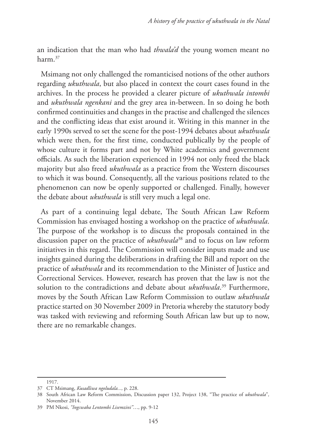an indication that the man who had *thwala'd* the young women meant no harm<sup>37</sup>

Msimang not only challenged the romanticised notions of the other authors regarding *ukuthwala*, but also placed in context the court cases found in the archives. In the process he provided a clearer picture of *ukuthwala intombi* and *ukuthwala ngenkani* and the grey area in-between. In so doing he both confirmed continuities and changes in the practise and challenged the silences and the conflicting ideas that exist around it. Writing in this manner in the early 1990s served to set the scene for the post-1994 debates about *ukuthwala* which were then, for the first time, conducted publically by the people of whose culture it forms part and not by White academics and government officials. As such the liberation experienced in 1994 not only freed the black majority but also freed *ukuthwala* as a practice from the Western discourses to which it was bound. Consequently, all the various positions related to the phenomenon can now be openly supported or challenged. Finally, however the debate about *ukuthwala* is still very much a legal one.

As part of a continuing legal debate, The South African Law Reform Commission has envisaged hosting a workshop on the practice of *ukuthwala*. The purpose of the workshop is to discuss the proposals contained in the discussion paper on the practice of *ukuthwala*38 and to focus on law reform initiatives in this regard. The Commission will consider inputs made and use insights gained during the deliberations in drafting the Bill and report on the practice of *ukuthwala* and its recommendation to the Minister of Justice and Correctional Services. However, research has proven that the law is not the solution to the contradictions and debate about *ukuthwala*. 39 Furthermore, moves by the South African Law Reform Commission to outlaw *ukuthwala* practice started on 30 November 2009 in Pretoria whereby the statutory body was tasked with reviewing and reforming South African law but up to now, there are no remarkable changes.

<sup>1917.</sup>

<sup>37</sup> CT Msimang, *Kusadliwa ngoludala...,* p. 228.

<sup>38</sup> South African Law Reform Commission, Discussion paper 132, Project 138, "The practice of *ukuthwala*"*,*  November 2014.

<sup>39</sup> PM Nkosi, *"Ingcwaba Lentombi Lisemzini"*…, pp. 9-12